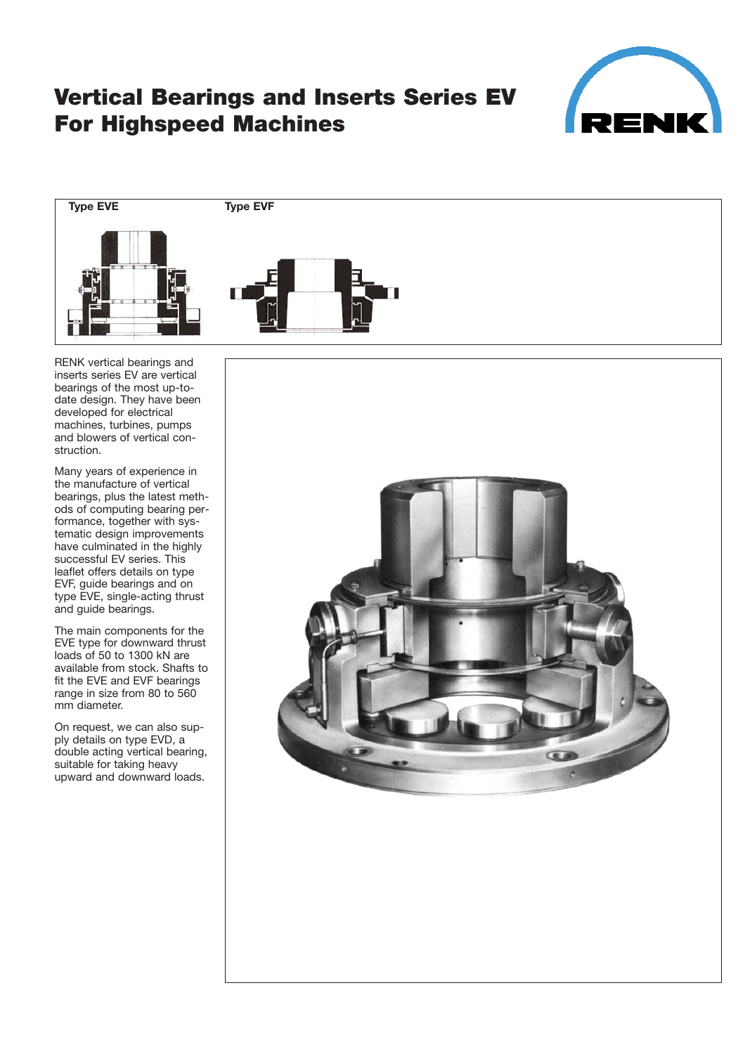

## **Vertical Bearings and Inserts Series EV For Highspeed Machines**



RENK vertical bearings and inserts series EV are vertical bearings of the most up-todate design. They have been developed for electrical machines, turbines, pumps and blowers of vertical con struction.

Many years of experience in the manufacture of vertical bearings, plus the latest meth ods of computing bearing per formance, together with sys tematic design improvements have culminated in the highly successful EV series. This leaflet offers details on type EVF, guide bearings and on type EVE, single-acting thrust and guide bearings.

The main components for the EVE type for downward thrust loads of 50 to 1300 kN are available from stock. Shafts to fit the EVE and EVF bearings range in size from 80 to 560 mm diameter.

On request, we can also sup ply details on type EVD, a double acting vertical bearing, suitable for taking heavy upward and downward loads.

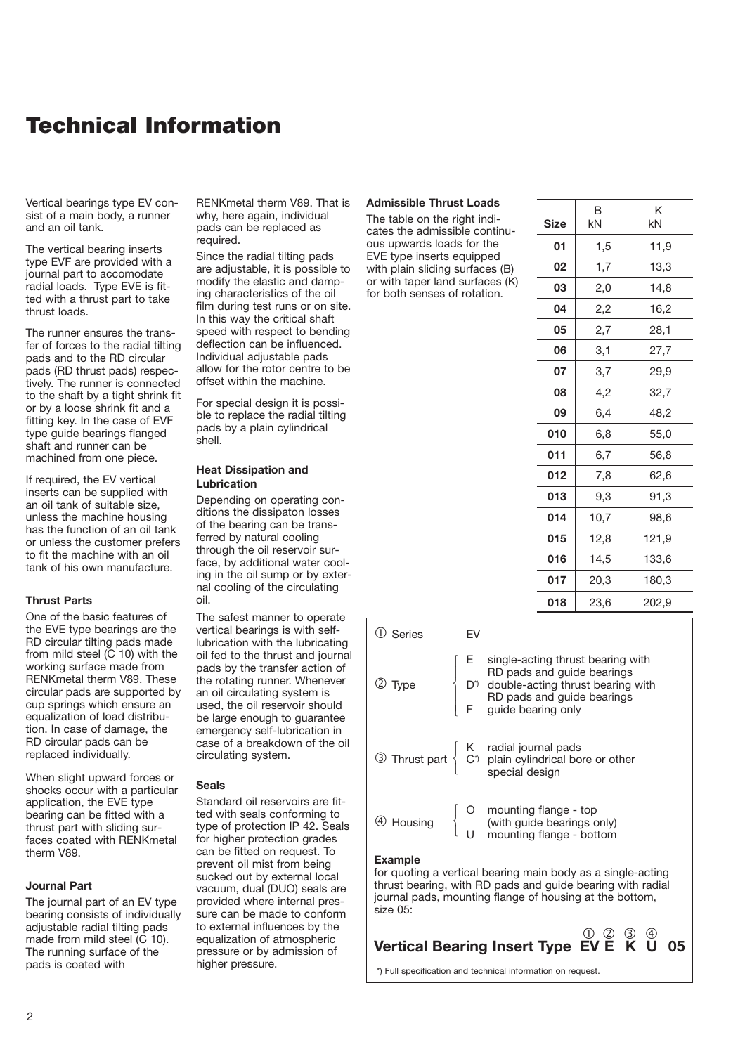### **Technical Information**

Vertical bearings type EV con sist of a main body, a runner and an oil tank.

The vertical bearing inserts type EVF are provided with a journal part to accomodate radial loads. Type EVE is fit ted with a thrust part to take thrust loads.

The runner ensures the trans fer of forces to the radial tilting pads and to the RD circular pads (RD thrust pads) respec tively. The runner is connected to the shaft by a tight shrink fit or by a loose shrink fit and a fitting key. In the case of EVF type guide bearings flanged shaft and runner can be machined from one piece.

If required, the EV vertical inserts can be supplied with an oil tank of suitable size, unless the machine housing has the function of an oil tank or unless the customer prefers to fit the machine with an oil tank of his own manufacture.

#### **Thrust Parts**

One of the basic features of the EVE type bearings are the RD circular tilting pads made from mild steel  $(C 10)$  with the working surface made from RENKmetal therm V89. These circular pads are supported by cup springs which ensure an equalization of load distribu tion. In case of damage, the RD circular pads can be replaced individually.

When slight upward forces or shocks occur with a particular application, the EVE type bearing can be fitted with a thrust part with sliding sur faces coated with RENKmetal therm V89.

#### **Journal Part**

The journal part of an EV type bearing consists of individually adjustable radial tilting pads made from mild steel (C 10). The running surface of the pads is coated with

RENKmetal therm V89. That is why, here again, individual pads can be replaced as required.

Since the radial tilting pads are adjustable, it is possible to modify the elastic and damp ing characteristics of the oil film during test runs or on site. In this way the critical shaft speed with respect to bending deflection can be influenced. Individual adjustable pads allow for the rotor centre to be offset within the machine.

For special design it is possi ble to replace the radial tilting pads by a plain cylindrical shell.

#### **Heat Dissipation and Lubrication**

Depending on operating con ditions the dissipaton losses of the bearing can be trans ferred by natural cooling through the oil reservoir sur face, by additional water cool ing in the oil sump or by exter nal cooling of the circulating oil.

The safest manner to operate vertical bearings is with self lubrication with the lubricating oil fed to the thrust and journal pads by the transfer action of the rotating runner. Whenever an oil circulating system is used, the oil reservoir should be large enough to guarantee emergency self-lubrication in case of a breakdown of the oil circulating system.

#### **Seals**

Standard oil reservoirs are fit ted with seals conforming to type of protection IP 42. Seals for higher protection grades can be fitted on request. To prevent oil mist from being sucked out by external local vacuum, dual (DUO) seals are provided where internal pres sure can be made to conform to external influences by the equalization of atmospheric pressure or by admission of higher pressure.

#### **Admissible Thrust Loads**

The table on the right indicates the admissible continu ous upwards loads for the EVE type inserts equipped with plain sliding surfaces (B) or with taper land surfaces (K) for both senses of rotation.

| <b>Size</b> | B<br>kN | K<br>kN |
|-------------|---------|---------|
| 01          | 1,5     | 11,9    |
| 02          | 1,7     | 13,3    |
| 03          | 2,0     | 14,8    |
| 04          | 2,2     | 16,2    |
| 05          | 2,7     | 28,1    |
| 06          | 3,1     | 27,7    |
| 07          | 3,7     | 29,9    |
| 08          | 4,2     | 32,7    |
| 09          | 6,4     | 48,2    |
| 010         | 6,8     | 55,0    |
| 011         | 6,7     | 56,8    |
| 012         | 7,8     | 62,6    |
| 013         | 9,3     | 91,3    |
| 014         | 10,7    | 98,6    |
| 015         | 12,8    | 121,9   |
| 016         | 14,5    | 133,6   |
| 017         | 20,3    | 180,3   |
| 018         | 23,6    | 202,9   |

| Series                     | FV |                                                                                                                                                                                         |
|----------------------------|----|-----------------------------------------------------------------------------------------------------------------------------------------------------------------------------------------|
| $\stackrel{?}{\sim}$ Type  |    | E single-acting thrust boxing<br>RD pads and guide bearings<br>D' double-acting thrust bearing with<br>RD pads and guide bearings<br>F guide bearing only                               |
|                            |    | $\circled{3}$ Thrust part $\left\{\n \begin{array}{cc}\n K & \text{radial journal pads} \\  C^{\dagger} & \text{plain cylindrical bore or other special design}\n \end{array}\n\right.$ |
|                            |    | 4 Housing $\left\{\n\begin{array}{ccc}\nO & \text{mounting flange - top} \\ \text{(with guide bearings only)} \\ U & \text{mounting flange - bottom}\n\end{array}\n\right.$             |
| <b>Example</b><br>size 05: |    | for quoting a vertical bearing main body as a single-acting<br>thrust bearing, with RD pads and guide bearing with radial<br>journal pads, mounting flange of housing at the bottom,    |

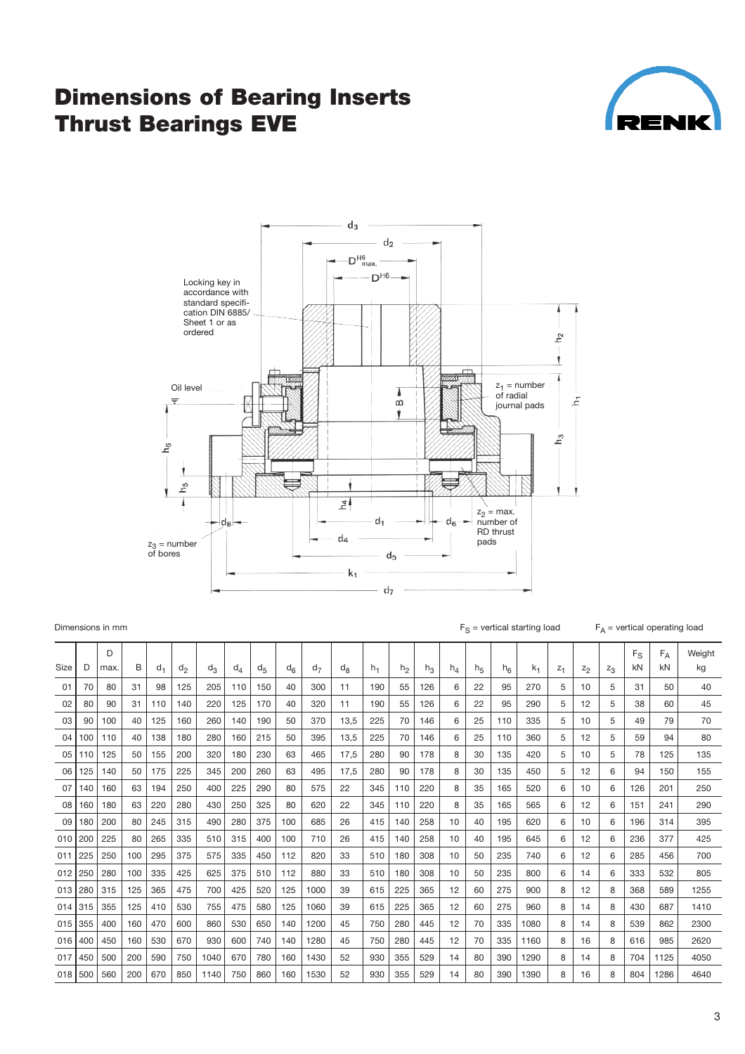### **Dimensions of Bearing Inserts Thrust Bearings EVE**





| Dimensions in mm |  |  |
|------------------|--|--|
|                  |  |  |

 $F_S$  = vertical starting load  $F_A$  = vertical operating load

|             |     | D    |     |     |       |       |       |                |     |                |         |       |                |       |       |                |                |       |       |       |       | $F_S$ | $F_A$ | Weight |
|-------------|-----|------|-----|-----|-------|-------|-------|----------------|-----|----------------|---------|-------|----------------|-------|-------|----------------|----------------|-------|-------|-------|-------|-------|-------|--------|
| <b>Size</b> | D   | max. | B   | d.  | $d_2$ | $d_3$ | $d_4$ | d <sub>5</sub> | ď۴  | d <sub>7</sub> | $d_{8}$ | $h_1$ | h <sub>2</sub> | $n_3$ | $h_4$ | h <sub>5</sub> | h <sub>6</sub> | $k_1$ | $Z_1$ | $Z_2$ | $Z_3$ | kN    | kN    | kg     |
| 01          | 70  | 80   | 31  | 98  | 125   | 205   | 110   | 150            | 40  | 300            | 11      | 190   | 55             | 126   | 6     | 22             | 95             | 270   | 5     | 10    | 5     | 31    | 50    | 40     |
| 02          | 80  | 90   | 31  | 110 | 140   | 220   | 125   | 170            | 40  | 320            | 11      | 190   | 55             | 126   | 6     | 22             | 95             | 290   | 5     | 12    | 5     | 38    | 60    | 45     |
| 03          | 90  | 100  | 40  | 125 | 160   | 260   | 140   | 190            | 50  | 370            | 13.5    | 225   | 70             | 146   | 6     | 25             | 110            | 335   | 5     | 10    | 5     | 49    | 79    | 70     |
| 04          | 100 | 110  | 40  | 138 | 180   | 280   | 160   | 215            | 50  | 395            | 13,5    | 225   | 70             | 146   | 6     | 25             | 110            | 360   | 5     | 12    | 5     | 59    | 94    | 80     |
| 05          | 110 | 125  | 50  | 155 | 200   | 320   | 180   | 230            | 63  | 465            | 17.5    | 280   | 90             | 178   | 8     | 30             | 135            | 420   | 5     | 10    | 5     | 78    | 125   | 135    |
| 06          | 125 | 140  | 50  | 175 | 225   | 345   | 200   | 260            | 63  | 495            | 17.5    | 280   | 90             | 178   | 8     | 30             | 135            | 450   | 5     | 12    | 6     | 94    | 150   | 155    |
| 07          | 140 | 160  | 63  | 194 | 250   | 400   | 225   | 290            | 80  | 575            | 22      | 345   | 110            | 220   | 8     | 35             | 165            | 520   | 6     | 10    | 6     | 126   | 201   | 250    |
| 08          | 160 | 180  | 63  | 220 | 280   | 430   | 250   | 325            | 80  | 620            | 22      | 345   | 110            | 220   | 8     | 35             | 165            | 565   | 6     | 12    | 6     | 151   | 241   | 290    |
| 09          | 180 | 200  | 80  | 245 | 315   | 490   | 280   | 375            | 100 | 685            | 26      | 415   | 140            | 258   | 10    | 40             | 195            | 620   | 6     | 10    | 6     | 196   | 314   | 395    |
| 010         | 200 | 225  | 80  | 265 | 335   | 510   | 315   | 400            | 100 | 710            | 26      | 415   | 140            | 258   | 10    | 40             | 195            | 645   | 6     | 12    | 6     | 236   | 377   | 425    |
| 011         | 225 | 250  | 100 | 295 | 375   | 575   | 335   | 450            | 112 | 820            | 33      | 510   | 180            | 308   | 10    | 50             | 235            | 740   | 6     | 12    | 6     | 285   | 456   | 700    |
| 012         | 250 | 280  | 100 | 335 | 425   | 625   | 375   | 510            | 112 | 880            | 33      | 510   | 180            | 308   | 10    | 50             | 235            | 800   | 6     | 14    | 6     | 333   | 532   | 805    |
| 013         | 280 | 315  | 125 | 365 | 475   | 700   | 425   | 520            | 125 | 1000           | 39      | 615   | 225            | 365   | 12    | 60             | 275            | 900   | 8     | 12    | 8     | 368   | 589   | 1255   |
| 014         | 315 | 355  | 125 | 410 | 530   | 755   | 475   | 580            | 125 | 1060           | 39      | 615   | 225            | 365   | 12    | 60             | 275            | 960   | 8     | 14    | 8     | 430   | 687   | 1410   |
| 015         | 355 | 400  | 160 | 470 | 600   | 860   | 530   | 650            | 140 | 1200           | 45      | 750   | 280            | 445   | 12    | 70             | 335            | 1080  | 8     | 14    | 8     | 539   | 862   | 2300   |
| 016         | 400 | 450  | 160 | 530 | 670   | 930   | 600   | 740            | 140 | 1280           | 45      | 750   | 280            | 445   | 12    | 70             | 335            | 1160  | 8     | 16    | 8     | 616   | 985   | 2620   |
| 017         | 450 | 500  | 200 | 590 | 750   | 1040  | 670   | 780            | 160 | 1430           | 52      | 930   | 355            | 529   | 14    | 80             | 390            | 1290  | 8     | 14    | 8     | 704   | 1125  | 4050   |
| 018         | 500 | 560  | 200 | 670 | 850   | 1140  | 750   | 860            | 160 | 1530           | 52      | 930   | 355            | 529   | 14    | 80             | 390            | 1390  | 8     | 16    | 8     | 804   | 1286  | 4640   |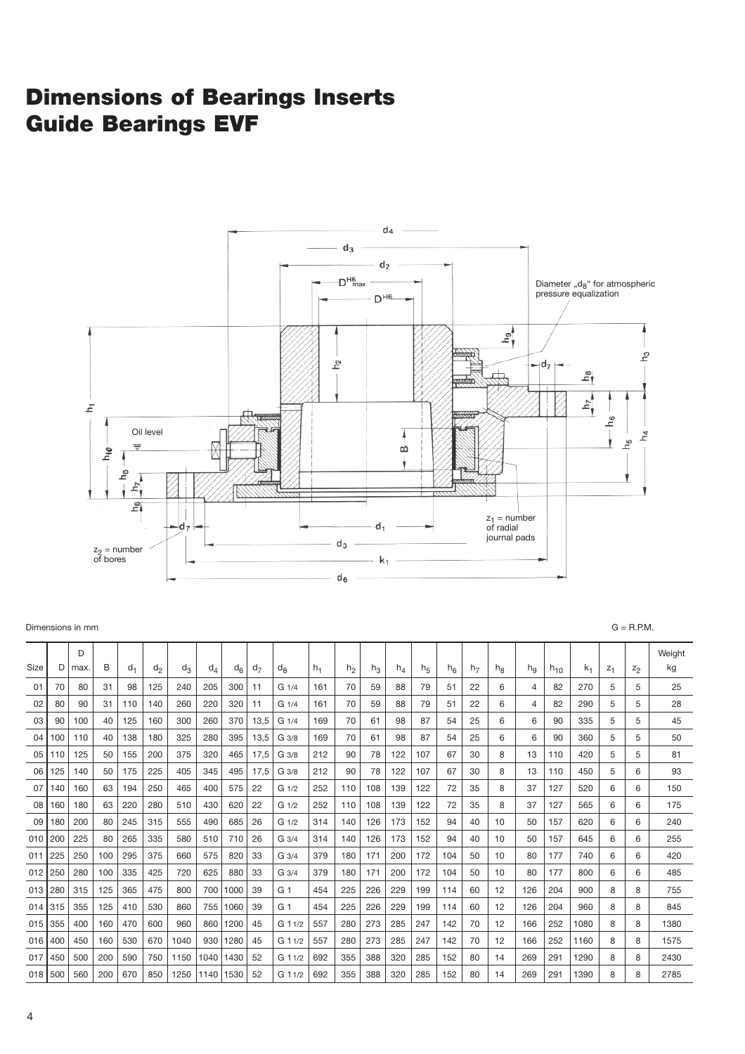# **Dimensions of Bearings Inserts Guide Bearings EVF**



| D<br>Size<br>В<br>D<br>$d_1$<br>h <sub>2</sub><br>max.<br>$d_2$<br>$d_3$<br>$d_4$<br>$d_7$<br>$h_1$<br>$h_4$<br>h <sub>6</sub><br>$k_1$<br>$d_6$<br>d <sub>8</sub><br>$h_3$<br>h <sub>5</sub><br>h <sub>7</sub><br>h <sub>R</sub><br>hq<br>$h_{10}$<br>$Z_1$<br>$z_2$<br>205<br>70<br>6<br>70<br>31<br>98<br>125<br>240<br>300<br>11<br>59<br>79<br>22<br>82<br>5<br>5<br>80<br>G1/4<br>161<br>88<br>51<br>4<br>270<br>01<br>70<br>80<br>110<br>140<br>260<br>220<br>320<br>11<br>59<br>51<br>22<br>6<br>82<br>290<br>5<br>5<br>02<br>90<br>31<br>G <sub>1/4</sub><br>161<br>88<br>79<br>4<br>260<br>70<br>40<br>125<br>160<br>300<br>370<br>13,5<br>G <sub>1/4</sub><br>169<br>98<br>87<br>54<br>25<br>6<br>6<br>90<br>335<br>5<br>5<br>03<br>90<br>100<br>61<br>325<br>280<br>395<br>13,5<br>70<br>6<br>6<br>360<br>5<br>5<br>100<br>40<br>138<br>180<br>G 3/8<br>169<br>61<br>98<br>87<br>54<br>25<br>90<br>04<br>110<br>320<br>212<br>90<br>50<br>155<br>200<br>375<br>465<br>17,5<br>G 3/8<br>78<br>122<br>107<br>67<br>30<br>8<br>13<br>110<br>420<br>5<br>5<br>05<br>110<br>125<br>345<br>225<br>405<br>495<br>90<br>67<br>8<br>06<br>125<br>140<br>50<br>175<br>17,5<br>G 3/8<br>212<br>78<br>122<br>107<br>30<br>13<br>110<br>450<br>5<br>6<br>465<br>400<br>07<br>63<br>194<br>250<br>575<br>22<br>252<br>110<br>108<br>139<br>122<br>72<br>35<br>8<br>37<br>127<br>520<br>6<br>6<br>140<br>160<br>G <sub>1/2</sub><br>220<br>280<br>510<br>430<br>620<br>252<br>122<br>35<br>8<br>127<br>08<br>160<br>180<br>63<br>22<br>110<br>108<br>139<br>72<br>37<br>565<br>6<br>6<br>G <sub>1/2</sub><br>555<br>490<br>685<br>09<br>180<br>200<br>80<br>245<br>315<br>26<br>314<br>140<br>126<br>173<br>152<br>94<br>40<br>10<br>620<br>6<br>6<br>G <sub>1/2</sub><br>50<br>157<br>80<br>265<br>335<br>580<br>510<br>26<br>314<br>140<br>126<br>152<br>40<br>10<br>6<br>6<br>010<br>200<br>225<br>710<br>$G_3/4$<br>173<br>94<br>50<br>157<br>645 | Weight<br>kg<br>25<br>28<br>45<br>50<br>81<br>93<br>150 |
|----------------------------------------------------------------------------------------------------------------------------------------------------------------------------------------------------------------------------------------------------------------------------------------------------------------------------------------------------------------------------------------------------------------------------------------------------------------------------------------------------------------------------------------------------------------------------------------------------------------------------------------------------------------------------------------------------------------------------------------------------------------------------------------------------------------------------------------------------------------------------------------------------------------------------------------------------------------------------------------------------------------------------------------------------------------------------------------------------------------------------------------------------------------------------------------------------------------------------------------------------------------------------------------------------------------------------------------------------------------------------------------------------------------------------------------------------------------------------------------------------------------------------------------------------------------------------------------------------------------------------------------------------------------------------------------------------------------------------------------------------------------------------------------------------------------------------------------------------------------------------------------------------------------------------------------------------|---------------------------------------------------------|
|                                                                                                                                                                                                                                                                                                                                                                                                                                                                                                                                                                                                                                                                                                                                                                                                                                                                                                                                                                                                                                                                                                                                                                                                                                                                                                                                                                                                                                                                                                                                                                                                                                                                                                                                                                                                                                                                                                                                                    |                                                         |
|                                                                                                                                                                                                                                                                                                                                                                                                                                                                                                                                                                                                                                                                                                                                                                                                                                                                                                                                                                                                                                                                                                                                                                                                                                                                                                                                                                                                                                                                                                                                                                                                                                                                                                                                                                                                                                                                                                                                                    |                                                         |
|                                                                                                                                                                                                                                                                                                                                                                                                                                                                                                                                                                                                                                                                                                                                                                                                                                                                                                                                                                                                                                                                                                                                                                                                                                                                                                                                                                                                                                                                                                                                                                                                                                                                                                                                                                                                                                                                                                                                                    |                                                         |
|                                                                                                                                                                                                                                                                                                                                                                                                                                                                                                                                                                                                                                                                                                                                                                                                                                                                                                                                                                                                                                                                                                                                                                                                                                                                                                                                                                                                                                                                                                                                                                                                                                                                                                                                                                                                                                                                                                                                                    |                                                         |
|                                                                                                                                                                                                                                                                                                                                                                                                                                                                                                                                                                                                                                                                                                                                                                                                                                                                                                                                                                                                                                                                                                                                                                                                                                                                                                                                                                                                                                                                                                                                                                                                                                                                                                                                                                                                                                                                                                                                                    |                                                         |
|                                                                                                                                                                                                                                                                                                                                                                                                                                                                                                                                                                                                                                                                                                                                                                                                                                                                                                                                                                                                                                                                                                                                                                                                                                                                                                                                                                                                                                                                                                                                                                                                                                                                                                                                                                                                                                                                                                                                                    |                                                         |
|                                                                                                                                                                                                                                                                                                                                                                                                                                                                                                                                                                                                                                                                                                                                                                                                                                                                                                                                                                                                                                                                                                                                                                                                                                                                                                                                                                                                                                                                                                                                                                                                                                                                                                                                                                                                                                                                                                                                                    |                                                         |
|                                                                                                                                                                                                                                                                                                                                                                                                                                                                                                                                                                                                                                                                                                                                                                                                                                                                                                                                                                                                                                                                                                                                                                                                                                                                                                                                                                                                                                                                                                                                                                                                                                                                                                                                                                                                                                                                                                                                                    |                                                         |
|                                                                                                                                                                                                                                                                                                                                                                                                                                                                                                                                                                                                                                                                                                                                                                                                                                                                                                                                                                                                                                                                                                                                                                                                                                                                                                                                                                                                                                                                                                                                                                                                                                                                                                                                                                                                                                                                                                                                                    | 175                                                     |
|                                                                                                                                                                                                                                                                                                                                                                                                                                                                                                                                                                                                                                                                                                                                                                                                                                                                                                                                                                                                                                                                                                                                                                                                                                                                                                                                                                                                                                                                                                                                                                                                                                                                                                                                                                                                                                                                                                                                                    | 240                                                     |
|                                                                                                                                                                                                                                                                                                                                                                                                                                                                                                                                                                                                                                                                                                                                                                                                                                                                                                                                                                                                                                                                                                                                                                                                                                                                                                                                                                                                                                                                                                                                                                                                                                                                                                                                                                                                                                                                                                                                                    | 255                                                     |
| 225<br>250<br>100<br>295<br>375<br>660<br>575<br>820<br>33<br>180<br>104<br>6<br>6<br>011<br>$G_3/4$<br>379<br>171<br>200<br>172<br>50<br>10<br>80<br>177<br>740                                                                                                                                                                                                                                                                                                                                                                                                                                                                                                                                                                                                                                                                                                                                                                                                                                                                                                                                                                                                                                                                                                                                                                                                                                                                                                                                                                                                                                                                                                                                                                                                                                                                                                                                                                                   | 420                                                     |
| 625<br>100<br>335<br>425<br>880<br>012<br>250<br>280<br>720<br>33<br>379<br>180<br>171<br>172<br>104<br>50<br>10<br>177<br>800<br>6<br>6<br>$G_3/4$<br>200<br>80                                                                                                                                                                                                                                                                                                                                                                                                                                                                                                                                                                                                                                                                                                                                                                                                                                                                                                                                                                                                                                                                                                                                                                                                                                                                                                                                                                                                                                                                                                                                                                                                                                                                                                                                                                                   | 485                                                     |
| 700<br>280<br>125<br>365<br>475<br>800<br>1000<br>225<br>199<br>114<br>013<br>315<br>39<br>G 1<br>454<br>226<br>229<br>60<br>12<br>126<br>204<br>900<br>8<br>8                                                                                                                                                                                                                                                                                                                                                                                                                                                                                                                                                                                                                                                                                                                                                                                                                                                                                                                                                                                                                                                                                                                                                                                                                                                                                                                                                                                                                                                                                                                                                                                                                                                                                                                                                                                     | 755                                                     |
| 755<br>125<br>410<br>530<br>860<br>1060<br>39<br>G 1<br>454<br>225<br>226<br>229<br>199<br>114<br>12<br>126<br>204<br>960<br>8<br>315<br>355<br>60<br>8<br>014                                                                                                                                                                                                                                                                                                                                                                                                                                                                                                                                                                                                                                                                                                                                                                                                                                                                                                                                                                                                                                                                                                                                                                                                                                                                                                                                                                                                                                                                                                                                                                                                                                                                                                                                                                                     | 845                                                     |
| 470<br>960<br>860<br>1200<br>280<br>285<br>142<br>12<br>1080<br>355<br>400<br>160<br>600<br>45<br>G 11/2<br>557<br>273<br>247<br>70<br>166<br>252<br>8<br>8<br>015                                                                                                                                                                                                                                                                                                                                                                                                                                                                                                                                                                                                                                                                                                                                                                                                                                                                                                                                                                                                                                                                                                                                                                                                                                                                                                                                                                                                                                                                                                                                                                                                                                                                                                                                                                                 | 1380                                                    |
| 930<br>400<br>160<br>530<br>670<br>1040<br>1280<br>45<br>557<br>280<br>273<br>285<br>247<br>142<br>70<br>12<br>166<br>252<br>1160<br>8<br>8<br>016<br>450<br>G 11/2                                                                                                                                                                                                                                                                                                                                                                                                                                                                                                                                                                                                                                                                                                                                                                                                                                                                                                                                                                                                                                                                                                                                                                                                                                                                                                                                                                                                                                                                                                                                                                                                                                                                                                                                                                                | 1575                                                    |
| 200<br>1040<br>388<br>152<br>291<br>450<br>500<br>590<br>750<br>1150<br>1430<br>52<br>G 11/2<br>692<br>355<br>320<br>285<br>80<br>14<br>269<br>1290<br>8<br>8<br>017                                                                                                                                                                                                                                                                                                                                                                                                                                                                                                                                                                                                                                                                                                                                                                                                                                                                                                                                                                                                                                                                                                                                                                                                                                                                                                                                                                                                                                                                                                                                                                                                                                                                                                                                                                               | 2430                                                    |
| 560<br>200<br>670<br>850<br>1250<br>1140<br>1530<br>52<br>692<br>355<br>388<br>320<br>285<br>152<br>14<br>269<br>291<br>1390<br>8<br>018 <sup>1</sup><br>500<br>G 11/2<br>80<br>8                                                                                                                                                                                                                                                                                                                                                                                                                                                                                                                                                                                                                                                                                                                                                                                                                                                                                                                                                                                                                                                                                                                                                                                                                                                                                                                                                                                                                                                                                                                                                                                                                                                                                                                                                                  | 2785                                                    |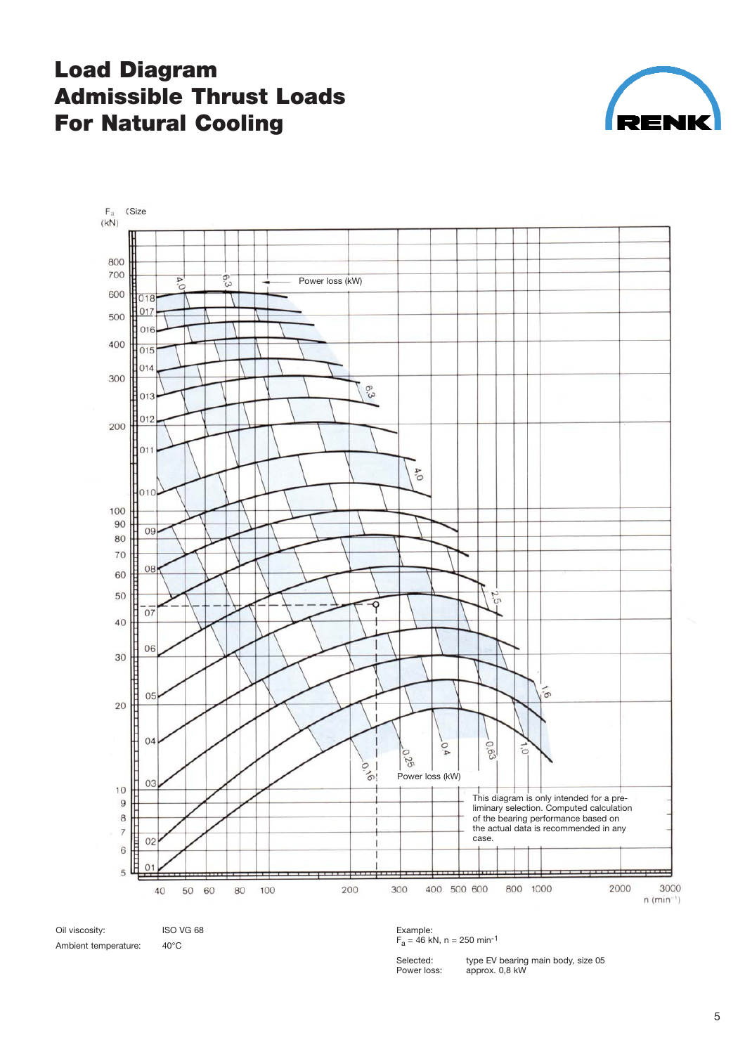# **Load Diagram Admissible Thrust Loads For Natural Cooling**





Ambient temperature: 40°C

Example:<br>F<sub>a</sub> = 46 kN, n = 250 min<sup>-1</sup>

Power loss: approx. 0,8 kW

Selected: type EV bearing main body, size 05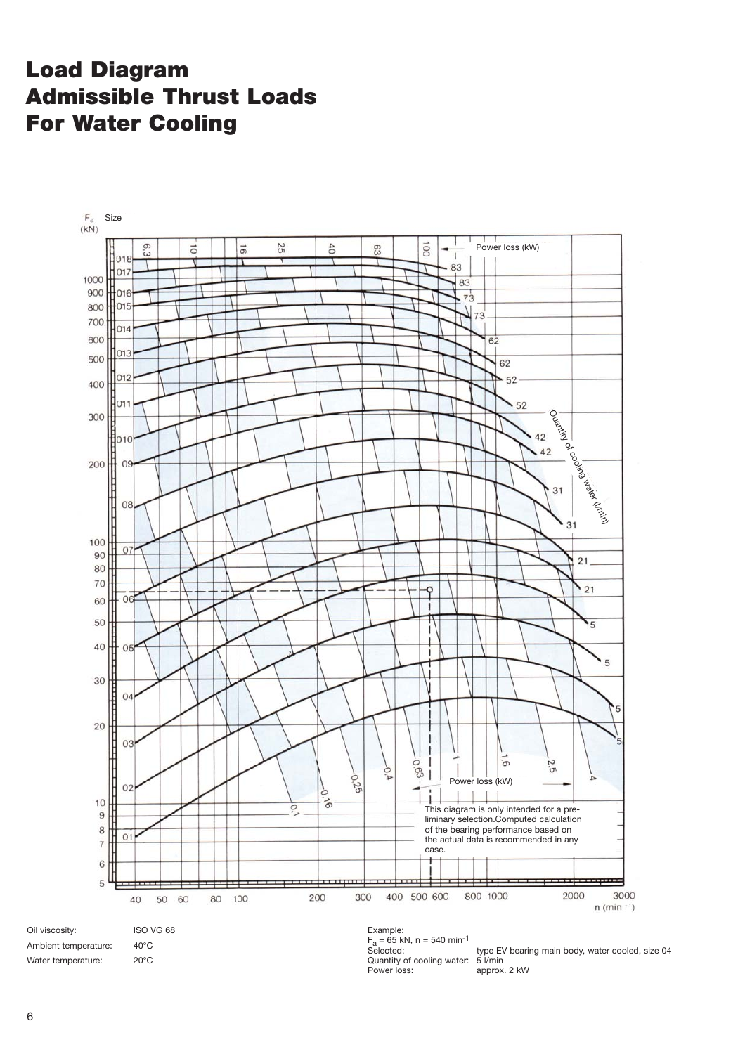# **Load Diagram Admissible Thrust Loads For Water Cooling**



Quantity of cooling water: 5 l/min Power loss: approx. 2 kW

Water temperature: 20°C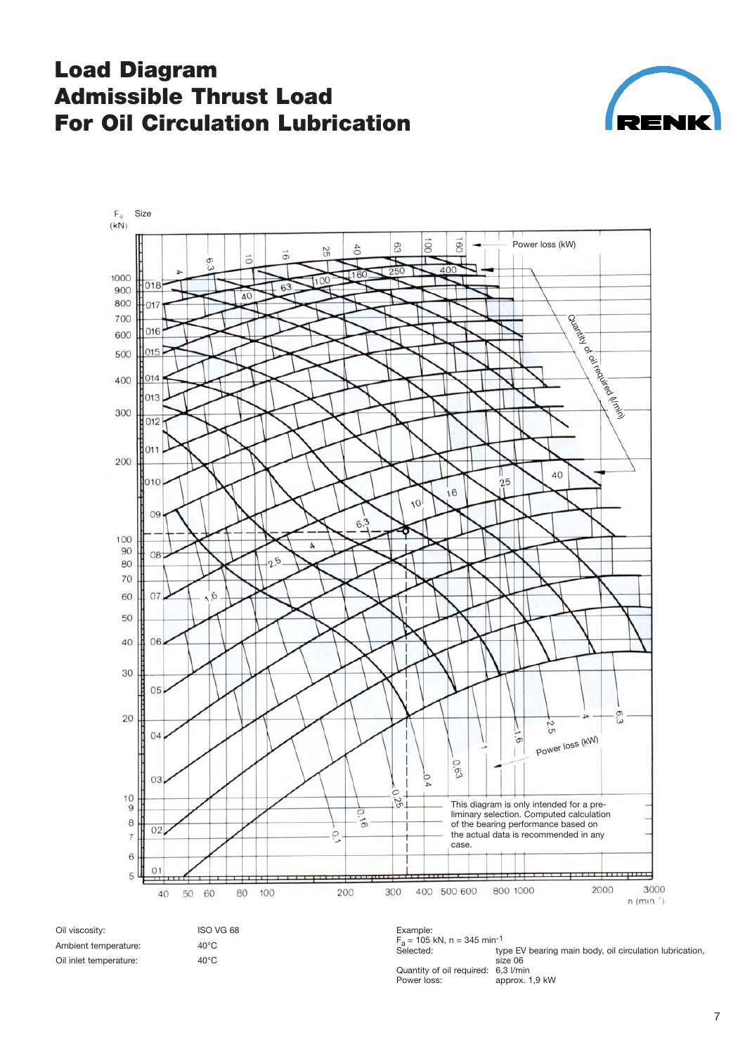## **Load Diagram Admissible Thrust Load For Oil Circulation Lubrication**





Oil viscosity: **ISO VG 68** Ambient temperature: 40°C Oil inlet temperature: 40°C

Example:<br>F<sub>a</sub> = 105 kN, n = 345 min<sup>-1</sup> type EV bearing main body, oil circulation lubrication, size 06 Quantity of oil required: 6,3 l/min Power loss: approx. 1,9 kW